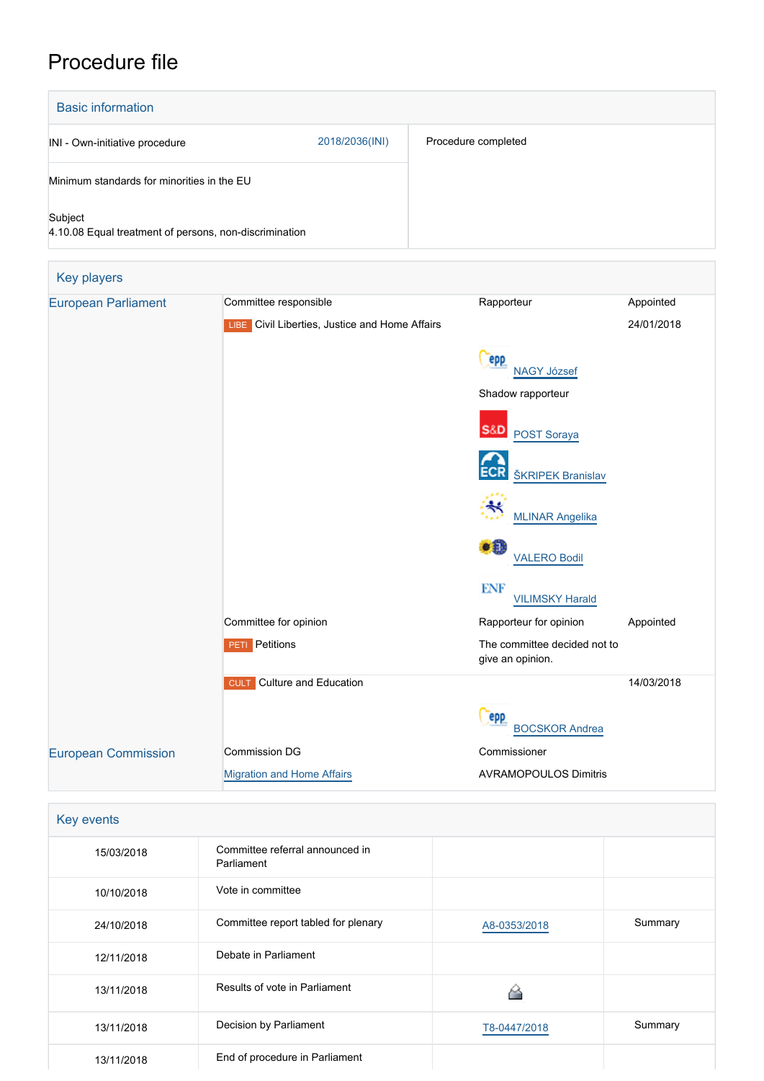## Procedure file

| <b>Basic information</b>                                          |                |                     |
|-------------------------------------------------------------------|----------------|---------------------|
| INI - Own-initiative procedure                                    | 2018/2036(INI) | Procedure completed |
| Minimum standards for minorities in the EU                        |                |                     |
| Subject<br>4.10.08 Equal treatment of persons, non-discrimination |                |                     |

| <b>Key players</b>         |                                                |                                                  |            |  |
|----------------------------|------------------------------------------------|--------------------------------------------------|------------|--|
| <b>European Parliament</b> | Committee responsible                          | Rapporteur                                       | Appointed  |  |
|                            | LIBE Civil Liberties, Justice and Home Affairs |                                                  | 24/01/2018 |  |
|                            |                                                | epp<br><b>NAGY József</b>                        |            |  |
|                            |                                                | Shadow rapporteur                                |            |  |
|                            |                                                | <b>S&amp;D</b><br>POST Soraya                    |            |  |
|                            |                                                | <b>ECR</b><br><b>ŠKRIPEK Branislav</b>           |            |  |
|                            |                                                | <b>MLINAR Angelika</b>                           |            |  |
|                            |                                                | $\bullet$<br><b>VALERO Bodil</b>                 |            |  |
|                            |                                                | <b>ENF</b><br><b>VILIMSKY Harald</b>             |            |  |
|                            | Committee for opinion                          | Rapporteur for opinion                           | Appointed  |  |
|                            | <b>PETI</b> Petitions                          | The committee decided not to<br>give an opinion. |            |  |
|                            | <b>Culture and Education</b><br><b>CULT</b>    |                                                  | 14/03/2018 |  |
|                            |                                                | <b>epp</b><br><b>BOCSKOR Andrea</b>              |            |  |
| <b>European Commission</b> | <b>Commission DG</b>                           | Commissioner                                     |            |  |
|                            | <b>Migration and Home Affairs</b>              | <b>AVRAMOPOULOS Dimitris</b>                     |            |  |

| Key events |                                               |              |         |
|------------|-----------------------------------------------|--------------|---------|
| 15/03/2018 | Committee referral announced in<br>Parliament |              |         |
| 10/10/2018 | Vote in committee                             |              |         |
| 24/10/2018 | Committee report tabled for plenary           | A8-0353/2018 | Summary |
| 12/11/2018 | Debate in Parliament                          |              |         |
| 13/11/2018 | Results of vote in Parliament                 |              |         |
| 13/11/2018 | Decision by Parliament                        | T8-0447/2018 | Summary |
| 13/11/2018 | End of procedure in Parliament                |              |         |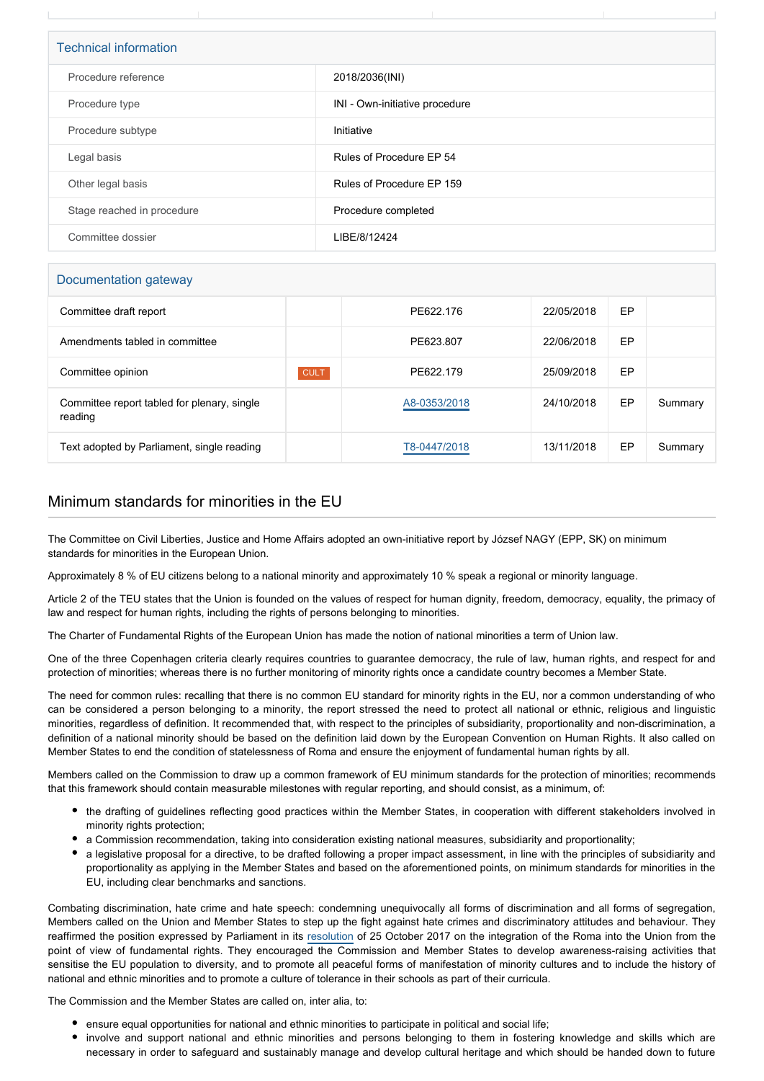| <b>Technical information</b> |                                |  |
|------------------------------|--------------------------------|--|
| Procedure reference          | 2018/2036(INI)                 |  |
| Procedure type               | INI - Own-initiative procedure |  |
| Procedure subtype            | Initiative                     |  |
| Legal basis                  | Rules of Procedure EP 54       |  |
| Other legal basis            | Rules of Procedure EP 159      |  |
| Stage reached in procedure   | Procedure completed            |  |
| Committee dossier            | LIBE/8/12424                   |  |

## Documentation gateway

| Committee draft report                                 |             | PE622.176    | 22/05/2018 | EP |         |
|--------------------------------------------------------|-------------|--------------|------------|----|---------|
| Amendments tabled in committee                         |             | PE623.807    | 22/06/2018 | EP |         |
| Committee opinion                                      | <b>CULT</b> | PE622.179    | 25/09/2018 | EP |         |
| Committee report tabled for plenary, single<br>reading |             | A8-0353/2018 | 24/10/2018 | EP | Summary |
| Text adopted by Parliament, single reading             |             | T8-0447/2018 | 13/11/2018 | EP | Summary |

## Minimum standards for minorities in the EU

The Committee on Civil Liberties, Justice and Home Affairs adopted an own-initiative report by József NAGY (EPP, SK) on minimum standards for minorities in the European Union.

Approximately 8 % of EU citizens belong to a national minority and approximately 10 % speak a regional or minority language.

Article 2 of the TEU states that the Union is founded on the values of respect for human dignity, freedom, democracy, equality, the primacy of law and respect for human rights, including the rights of persons belonging to minorities.

The Charter of Fundamental Rights of the European Union has made the notion of national minorities a term of Union law.

One of the three Copenhagen criteria clearly requires countries to guarantee democracy, the rule of law, human rights, and respect for and protection of minorities; whereas there is no further monitoring of minority rights once a candidate country becomes a Member State.

The need for common rules: recalling that there is no common EU standard for minority rights in the EU, nor a common understanding of who can be considered a person belonging to a minority, the report stressed the need to protect all national or ethnic, religious and linguistic minorities, regardless of definition. It recommended that, with respect to the principles of subsidiarity, proportionality and non-discrimination, a definition of a national minority should be based on the definition laid down by the European Convention on Human Rights. It also called on Member States to end the condition of statelessness of Roma and ensure the enjoyment of fundamental human rights by all.

Members called on the Commission to draw up a common framework of EU minimum standards for the protection of minorities; recommends that this framework should contain measurable milestones with regular reporting, and should consist, as a minimum, of:

- the drafting of guidelines reflecting good practices within the Member States, in cooperation with different stakeholders involved in minority rights protection:
- a Commission recommendation, taking into consideration existing national measures, subsidiarity and proportionality;
- a legislative proposal for a directive, to be drafted following a proper impact assessment, in line with the principles of subsidiarity and proportionality as applying in the Member States and based on the aforementioned points, on minimum standards for minorities in the EU, including clear benchmarks and sanctions.

Combating discrimination, hate crime and hate speech: condemning unequivocally all forms of discrimination and all forms of segregation, Members called on the Union and Member States to step up the fight against hate crimes and discriminatory attitudes and behaviour. They reaffirmed the position expressed by Parliament in its [resolution](https://oeil.secure.europarl.europa.eu/oeil/popups/ficheprocedure.do?lang=en&reference=2017/2038(INI)) of 25 October 2017 on the integration of the Roma into the Union from the point of view of fundamental rights. They encouraged the Commission and Member States to develop awareness-raising activities that sensitise the EU population to diversity, and to promote all peaceful forms of manifestation of minority cultures and to include the history of national and ethnic minorities and to promote a culture of tolerance in their schools as part of their curricula.

The Commission and the Member States are called on, inter alia, to:

- ensure equal opportunities for national and ethnic minorities to participate in political and social life;
- involve and support national and ethnic minorities and persons belonging to them in fostering knowledge and skills which are necessary in order to safeguard and sustainably manage and develop cultural heritage and which should be handed down to future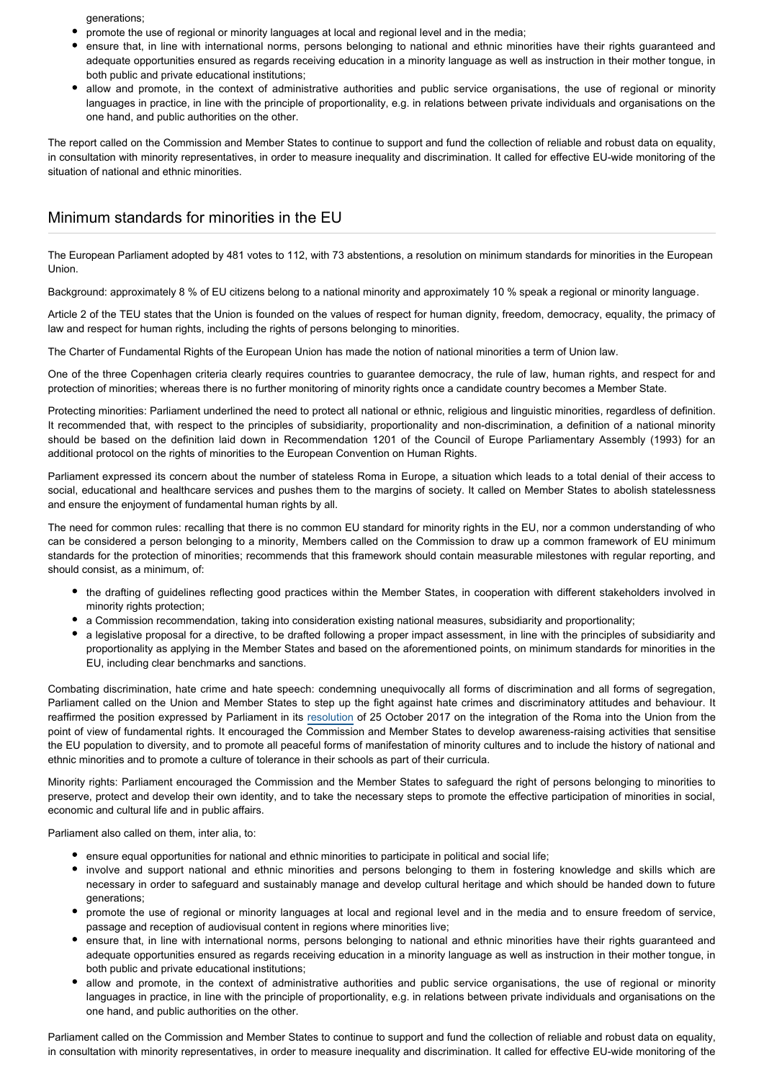generations;

- promote the use of regional or minority languages at local and regional level and in the media;
- ensure that, in line with international norms, persons belonging to national and ethnic minorities have their rights guaranteed and adequate opportunities ensured as regards receiving education in a minority language as well as instruction in their mother tongue, in both public and private educational institutions;
- allow and promote, in the context of administrative authorities and public service organisations, the use of regional or minority languages in practice, in line with the principle of proportionality, e.g. in relations between private individuals and organisations on the one hand, and public authorities on the other.

The report called on the Commission and Member States to continue to support and fund the collection of reliable and robust data on equality, in consultation with minority representatives, in order to measure inequality and discrimination. It called for effective EU-wide monitoring of the situation of national and ethnic minorities.

## Minimum standards for minorities in the EU

The European Parliament adopted by 481 votes to 112, with 73 abstentions, a resolution on minimum standards for minorities in the European Union.

Background: approximately 8 % of EU citizens belong to a national minority and approximately 10 % speak a regional or minority language.

Article 2 of the TEU states that the Union is founded on the values of respect for human dignity, freedom, democracy, equality, the primacy of law and respect for human rights, including the rights of persons belonging to minorities.

The Charter of Fundamental Rights of the European Union has made the notion of national minorities a term of Union law.

One of the three Copenhagen criteria clearly requires countries to guarantee democracy, the rule of law, human rights, and respect for and protection of minorities; whereas there is no further monitoring of minority rights once a candidate country becomes a Member State.

Protecting minorities: Parliament underlined the need to protect all national or ethnic, religious and linguistic minorities, regardless of definition. It recommended that, with respect to the principles of subsidiarity, proportionality and non-discrimination, a definition of a national minority should be based on the definition laid down in Recommendation 1201 of the Council of Europe Parliamentary Assembly (1993) for an additional protocol on the rights of minorities to the European Convention on Human Rights.

Parliament expressed its concern about the number of stateless Roma in Europe, a situation which leads to a total denial of their access to social, educational and healthcare services and pushes them to the margins of society. It called on Member States to abolish statelessness and ensure the enjoyment of fundamental human rights by all.

The need for common rules: recalling that there is no common EU standard for minority rights in the EU, nor a common understanding of who can be considered a person belonging to a minority, Members called on the Commission to draw up a common framework of EU minimum standards for the protection of minorities; recommends that this framework should contain measurable milestones with regular reporting, and should consist, as a minimum, of:

- the drafting of guidelines reflecting good practices within the Member States, in cooperation with different stakeholders involved in minority rights protection;
- a Commission recommendation, taking into consideration existing national measures, subsidiarity and proportionality;
- a legislative proposal for a directive, to be drafted following a proper impact assessment, in line with the principles of subsidiarity and proportionality as applying in the Member States and based on the aforementioned points, on minimum standards for minorities in the EU, including clear benchmarks and sanctions.

Combating discrimination, hate crime and hate speech: condemning unequivocally all forms of discrimination and all forms of segregation, Parliament called on the Union and Member States to step up the fight against hate crimes and discriminatory attitudes and behaviour. It reaffirmed the position expressed by Parliament in its [resolution](https://oeil.secure.europarl.europa.eu/oeil/popups/ficheprocedure.do?lang=en&reference=2017/2038(INI)) of 25 October 2017 on the integration of the Roma into the Union from the point of view of fundamental rights. It encouraged the Commission and Member States to develop awareness-raising activities that sensitise the EU population to diversity, and to promote all peaceful forms of manifestation of minority cultures and to include the history of national and ethnic minorities and to promote a culture of tolerance in their schools as part of their curricula.

Minority rights: Parliament encouraged the Commission and the Member States to safeguard the right of persons belonging to minorities to preserve, protect and develop their own identity, and to take the necessary steps to promote the effective participation of minorities in social, economic and cultural life and in public affairs.

Parliament also called on them, inter alia, to:

- ensure equal opportunities for national and ethnic minorities to participate in political and social life;
- involve and support national and ethnic minorities and persons belonging to them in fostering knowledge and skills which are necessary in order to safeguard and sustainably manage and develop cultural heritage and which should be handed down to future generations;
- promote the use of regional or minority languages at local and regional level and in the media and to ensure freedom of service, passage and reception of audiovisual content in regions where minorities live;
- ensure that, in line with international norms, persons belonging to national and ethnic minorities have their rights guaranteed and adequate opportunities ensured as regards receiving education in a minority language as well as instruction in their mother tongue, in both public and private educational institutions;
- allow and promote, in the context of administrative authorities and public service organisations, the use of regional or minority languages in practice, in line with the principle of proportionality, e.g. in relations between private individuals and organisations on the one hand, and public authorities on the other.

Parliament called on the Commission and Member States to continue to support and fund the collection of reliable and robust data on equality, in consultation with minority representatives, in order to measure inequality and discrimination. It called for effective EU-wide monitoring of the